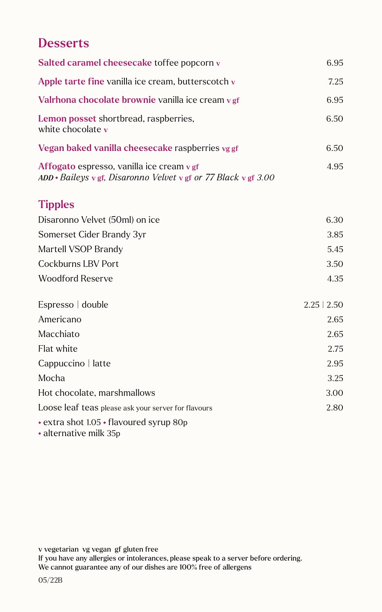## **Desserts**

| Salted caramel cheesecake toffee popcorn v                                                                         | 6.95             |
|--------------------------------------------------------------------------------------------------------------------|------------------|
| Apple tarte fine vanilla ice cream, butterscotch v                                                                 | 7.25             |
| Valrhona chocolate brownie vanilla ice cream v gf                                                                  | 6.95             |
| Lemon posset shortbread, raspberries,<br>white chocolate v                                                         | 6.50             |
| Vegan baked vanilla cheesecake raspberries vg gf                                                                   | 6.50             |
| Affogato espresso, vanilla ice cream v gf<br>$ADD * Baileys \vee gf$ , Disaronno Velvet v gf or 77 Black v gf 3.00 | 4.95             |
| <b>Tipples</b>                                                                                                     |                  |
| Disaronno Velvet (50ml) on ice                                                                                     | 6.30             |
| Somerset Cider Brandy 3yr                                                                                          | 3.85             |
| Martell VSOP Brandy                                                                                                | 5.45             |
| <b>Cockburns LBV Port</b>                                                                                          | 3.50             |
| <b>Woodford Reserve</b>                                                                                            | 4.35             |
| Espresso   double                                                                                                  | $2.25 \mid 2.50$ |
| Americano                                                                                                          | 2.65             |
| Macchiato                                                                                                          | 2.65             |
| Flat white                                                                                                         | 2.75             |
| Cappuccino   latte                                                                                                 | 2.95             |
| Mocha                                                                                                              | 3.25             |
| Hot chocolate, marshmallows                                                                                        | 3.00             |
| Loose leaf teas please ask your server for flavours                                                                | 2.80             |
| • extra shot 1.05 • flavoured syrup 80p<br>• alternative milk 35p                                                  |                  |

v vegetarian vg vegan gf gluten free

If you have any allergies or intolerances, please speak to a server before ordering. We cannot guarantee any of our dishes are 100% free of allergens